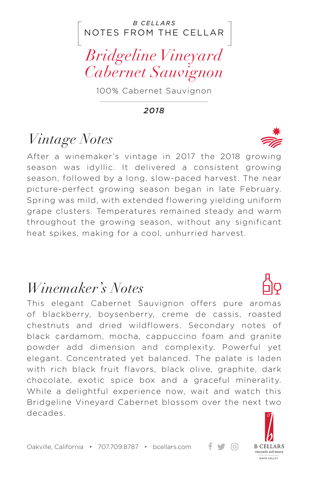#### NOTES FROM THE CELLAR *B CELLARS*

*Bridgeline Vineyard Cabernet Sauvignon*

100% Cabernet Sauvignon

*2018*

## *Vintage Notes*

After a winemaker's vintage in 2017 the 2018 growing season was idyllic. It delivered a consistent growing season, followed by a long, slow-paced harvest. The near picture-perfect growing season began in late February. Spring was mild, with extended flowering yielding uniform grape clusters. Temperatures remained steady and warm throughout the growing season, without any significant heat spikes, making for a cool, unhurried harvest.

### *Winemaker's Notes*

This elegant Cabernet Sauvignon offers pure aromas of blackberry, boysenberry, creme de cassis, roasted chestnuts and dried wildflowers. Secondary notes of black cardamom, mocha, cappuccino foam and granite powder add dimension and complexity. Powerful yet elegant. Concentrated yet balanced. The palate is laden with rich black fruit flavors, black olive, graphite, dark chocolate, exotic spice box and a graceful minerality. While a delightful experience now, wait and watch this Bridgeline Vineyard Cabernet blossom over the next two decades.



ര

Oakville, California • 707.709.8787 • bcellars.com